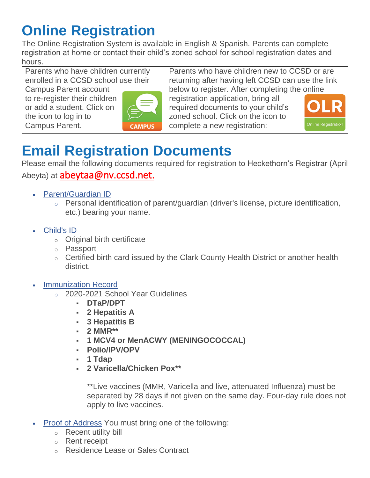# **Online Registration**

The Online Registration System is available in English & Spanish. Parents can complete registration at home or contact their child's zoned school for school registration dates and hours.

Parents who have children currently enrolled in a CCSD school use their

Campus Parent account to re-register their children or add a student. Click on the icon to log in to Campus Parent.



Parents who have children new to CCSD or are returning after having left CCSD can use the link below to register. After completing the online

registration application, bring all required documents to your child's zoned school. Click on the icon to complete a new registration:



# **Email Registration Documents**

Please email the following documents required for registration to Heckethorn's Registrar (April Abeyta) at **[abeytaa@nv.ccsd.net.](mailto:abeytaa@nv.ccsd.net)** 

- [Parent/Guardian ID](https://ccsd.net/parents/enrollment/#yourID)
	- o Personal identification of parent/guardian (driver's license, picture identification, etc.) bearing your name.
- [Child's ID](https://ccsd.net/parents/enrollment/#proofChild)
	- o Original birth certificate
	- o Passport
	- o Certified birth card issued by the Clark County Health District or another health district.
- [Immunization Record](https://ccsd.net/parents/enrollment/#proofImm)
	- o 2020-2021 School Year Guidelines
		- **DTaP/DPT**
		- **2 Hepatitis A**
		- **3 Hepatitis B**
		- **2 MMR\*\***
		- **1 MCV4 or MenACWY (MENINGOCOCCAL)**
		- **Polio/IPV/OPV**
		- **1 Tdap**
		- **2 Varicella/Chicken Pox\*\***

*\*\*Live vaccines (MMR, Varicella and live, attenuated Influenza) must be separated by 28 days if not given on the same day. Four-day rule does not apply to live vaccines.*

- [Proof of Address](https://ccsd.net/parents/enrollment/#proofAddr) You must bring one of the following:
	- o Recent utility bill
	- o Rent receipt
	- o Residence Lease or Sales Contract